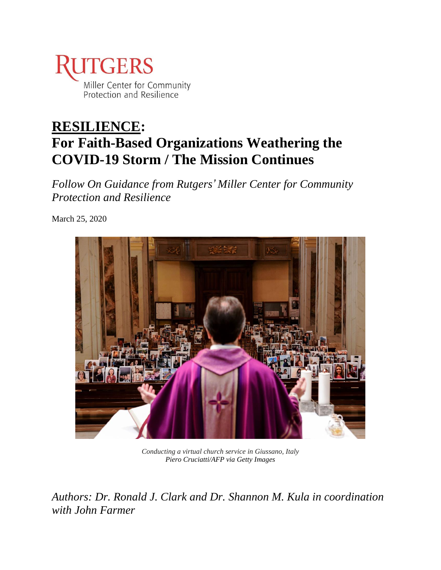

# **RESILIENCE: For Faith-Based Organizations Weathering the COVID-19 Storm / The Mission Continues**

*Follow On Guidance from Rutgers' Miller Center for Community Protection and Resilience*

March 25, 2020



*Conducting a virtual church service in Giussano, Italy Piero Cruciatti/AFP via Getty Images*

*Authors: Dr. Ronald J. Clark and Dr. Shannon M. Kula in coordination with John Farmer*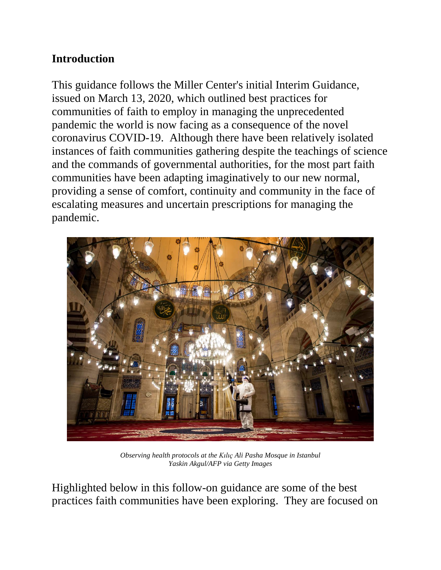# **Introduction**

This guidance follows the Miller Center's initial Interim Guidance, issued on March 13, 2020, which outlined best practices for communities of faith to employ in managing the unprecedented pandemic the world is now facing as a consequence of the novel coronavirus COVID-19. Although there have been relatively isolated instances of faith communities gathering despite the teachings of science and the commands of governmental authorities, for the most part faith communities have been adapting imaginatively to our new normal, providing a sense of comfort, continuity and community in the face of escalating measures and uncertain prescriptions for managing the pandemic.



*Observing health protocols at the Kılıç Ali Pasha Mosque in Istanbul Yaskin Akgul/AFP via Getty Images*

Highlighted below in this follow-on guidance are some of the best practices faith communities have been exploring. They are focused on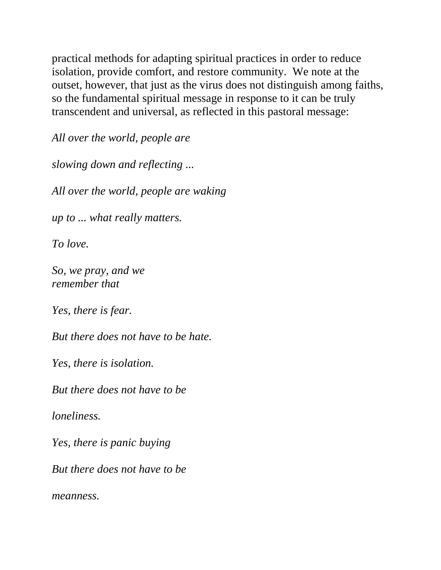practical methods for adapting spiritual practices in order to reduce isolation, provide comfort, and restore community. We note at the outset, however, that just as the virus does not distinguish among faiths, so the fundamental spiritual message in response to it can be truly transcendent and universal, as reflected in this pastoral message:

*All over the world, people are*

*slowing down and reflecting ...*

*All over the world, people are waking*

*up to ... what really matters.*

*To love.*

*So, we pray, and we remember that*

*Yes, there is fear.*

*But there does not have to be hate.*

*Yes, there is isolation.*

*But there does not have to be*

*loneliness.*

*Yes, there is panic buying*

*But there does not have to be*

*meanness.*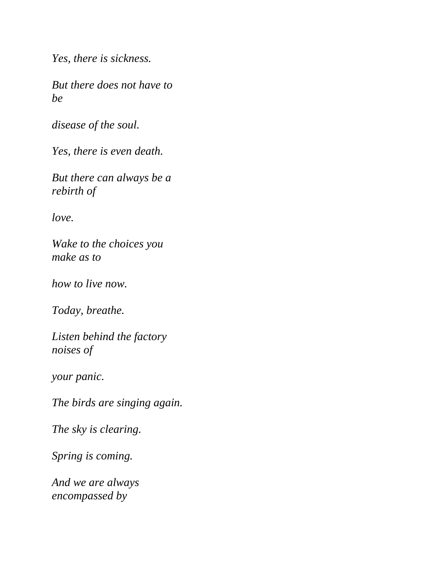*Yes, there is sickness.*

*But there does not have to be*

*disease of the soul.*

*Yes, there is even death.*

*But there can always be a rebirth of*

*love.*

*Wake to the choices you make as to*

*how to live now.*

*Today, breathe.*

*Listen behind the factory noises of*

*your panic.*

*The birds are singing again.*

*The sky is clearing.*

*Spring is coming.*

*And we are always encompassed by*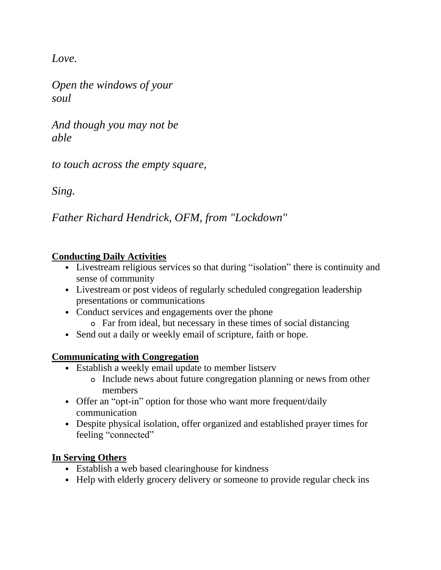*Love.*

*Open the windows of your soul*

*And though you may not be able*

*to touch across the empty square,*

*Sing.*

*Father Richard Hendrick, OFM, from "Lockdown"*

# **Conducting Daily Activities**

- Livestream religious services so that during "isolation" there is continuity and sense of community
- Livestream or post videos of regularly scheduled congregation leadership presentations or communications
- Conduct services and engagements over the phone
	- o Far from ideal, but necessary in these times of social distancing
- Send out a daily or weekly email of scripture, faith or hope.

# **Communicating with Congregation**

- Establish a weekly email update to member listserv
	- o Include news about future congregation planning or news from other members
- Offer an "opt-in" option for those who want more frequent/daily communication
- Despite physical isolation, offer organized and established prayer times for feeling "connected"

# **In Serving Others**

- Establish a web based clearinghouse for kindness
- Help with elderly grocery delivery or someone to provide regular check ins